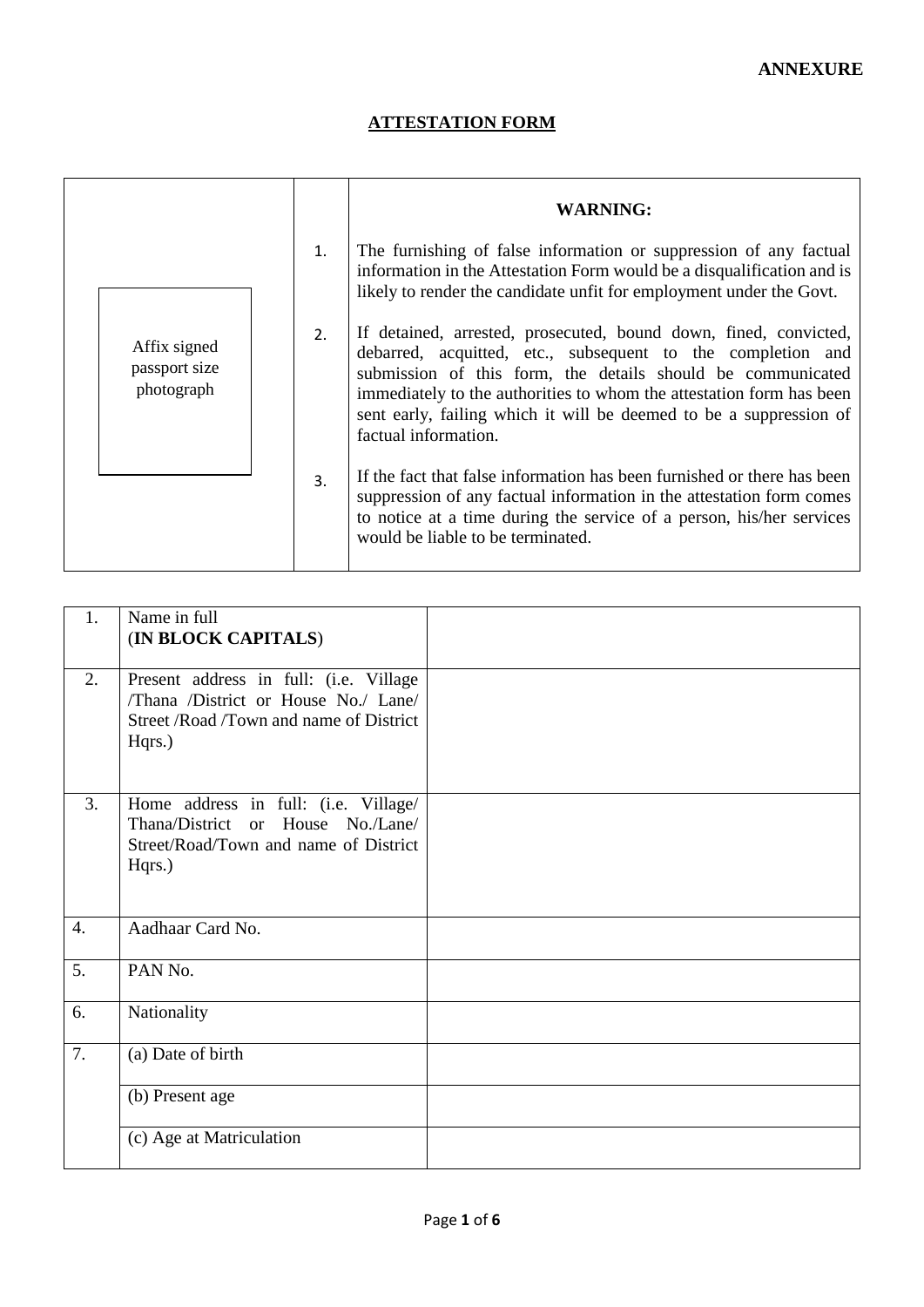## **ATTESTATION FORM**

|                                             |                  | <b>WARNING:</b>                                                                                                                                                                                                                                                                                                                                                      |
|---------------------------------------------|------------------|----------------------------------------------------------------------------------------------------------------------------------------------------------------------------------------------------------------------------------------------------------------------------------------------------------------------------------------------------------------------|
|                                             | 1.               | The furnishing of false information or suppression of any factual<br>information in the Attestation Form would be a disqualification and is<br>likely to render the candidate unfit for employment under the Govt.                                                                                                                                                   |
| Affix signed<br>passport size<br>photograph | $\overline{2}$ . | If detained, arrested, prosecuted, bound down, fined, convicted,<br>debarred, acquitted, etc., subsequent to the completion and<br>submission of this form, the details should be communicated<br>immediately to the authorities to whom the attestation form has been<br>sent early, failing which it will be deemed to be a suppression of<br>factual information. |
|                                             | 3.               | If the fact that false information has been furnished or there has been<br>suppression of any factual information in the attestation form comes<br>to notice at a time during the service of a person, his/her services<br>would be liable to be terminated.                                                                                                         |

| 1.               | Name in full<br>(IN BLOCK CAPITALS)                                                                                                 |  |
|------------------|-------------------------------------------------------------------------------------------------------------------------------------|--|
| 2.               | Present address in full: (i.e. Village<br>/Thana /District or House No./ Lane/<br>Street /Road /Town and name of District<br>Hqrs.) |  |
| 3.               | Home address in full: (i.e. Village/<br>Thana/District or House No./Lane/<br>Street/Road/Town and name of District<br>Hqrs.)        |  |
| $\overline{4}$ . | Aadhaar Card No.                                                                                                                    |  |
| 5.               | PAN No.                                                                                                                             |  |
| 6.               | Nationality                                                                                                                         |  |
| 7.               | (a) Date of birth<br>(b) Present age                                                                                                |  |
|                  | (c) Age at Matriculation                                                                                                            |  |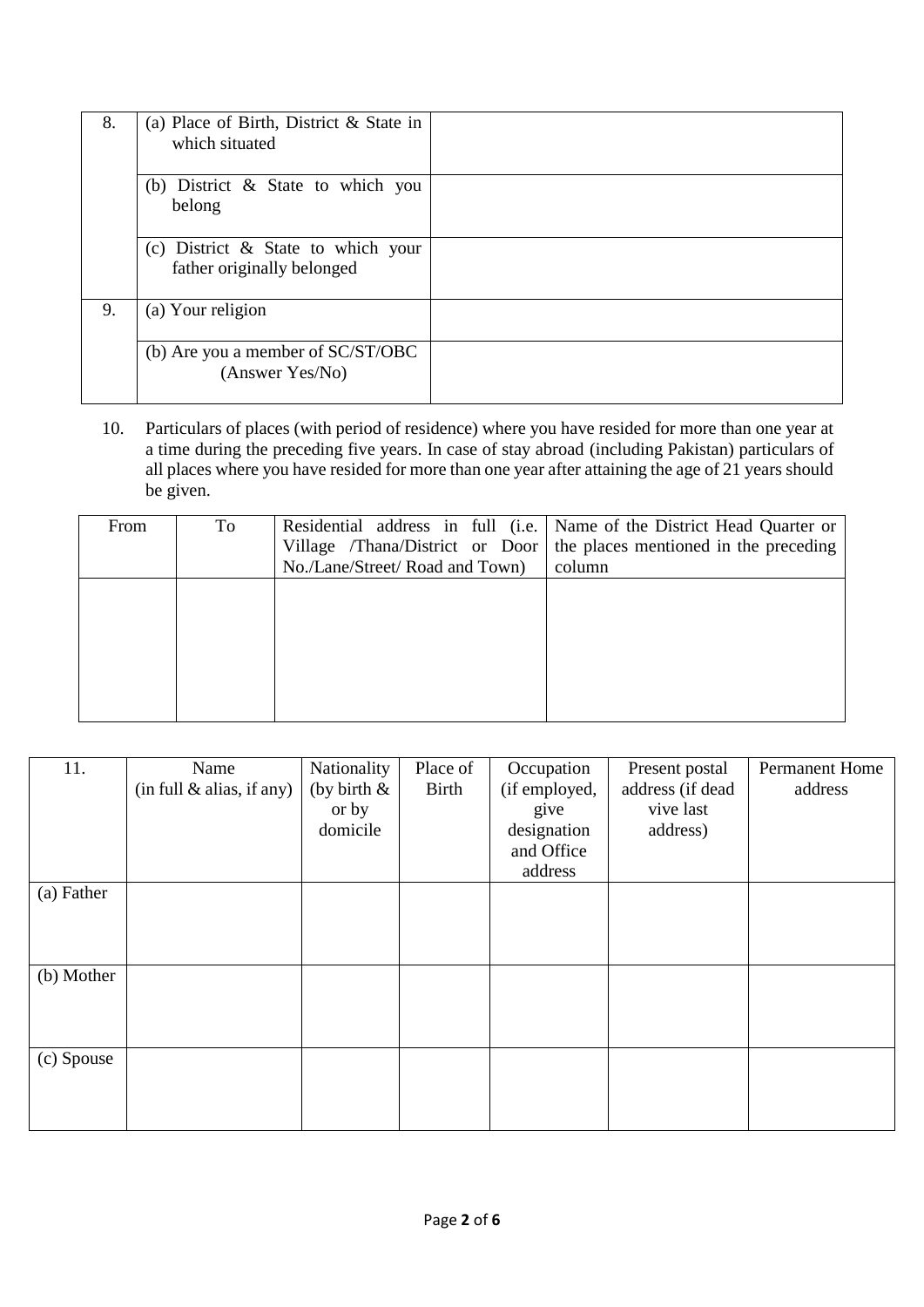| 8. | (a) Place of Birth, District $\&$ State in<br>which situated        |  |
|----|---------------------------------------------------------------------|--|
|    | (b) District $\&$ State to which you<br>belong                      |  |
|    | (c) District $\&$ State to which your<br>father originally belonged |  |
| 9. | (a) Your religion                                                   |  |
|    | (b) Are you a member of SC/ST/OBC<br>(Answer Yes/No)                |  |

10. Particulars of places (with period of residence) where you have resided for more than one year at a time during the preceding five years. In case of stay abroad (including Pakistan) particulars of all places where you have resided for more than one year after attaining the age of 21 years should be given.

| From | To | Village /Thana/District or Door<br>No./Lane/Street/ Road and Town) | Residential address in full (i.e.   Name of the District Head Quarter or<br>the places mentioned in the preceding<br>column |
|------|----|--------------------------------------------------------------------|-----------------------------------------------------------------------------------------------------------------------------|
|      |    |                                                                    |                                                                                                                             |

| 11.        | Name                      | Nationality    | Place of     | Occupation    | Present postal   | Permanent Home |
|------------|---------------------------|----------------|--------------|---------------|------------------|----------------|
|            | (in full & alias, if any) | (by birth $\&$ | <b>Birth</b> | (if employed, | address (if dead | address        |
|            |                           | or by          |              | give          | vive last        |                |
|            |                           | domicile       |              | designation   | address)         |                |
|            |                           |                |              | and Office    |                  |                |
|            |                           |                |              | address       |                  |                |
| (a) Father |                           |                |              |               |                  |                |
|            |                           |                |              |               |                  |                |
|            |                           |                |              |               |                  |                |
|            |                           |                |              |               |                  |                |
| (b) Mother |                           |                |              |               |                  |                |
|            |                           |                |              |               |                  |                |
|            |                           |                |              |               |                  |                |
|            |                           |                |              |               |                  |                |
| (c) Spouse |                           |                |              |               |                  |                |
|            |                           |                |              |               |                  |                |
|            |                           |                |              |               |                  |                |
|            |                           |                |              |               |                  |                |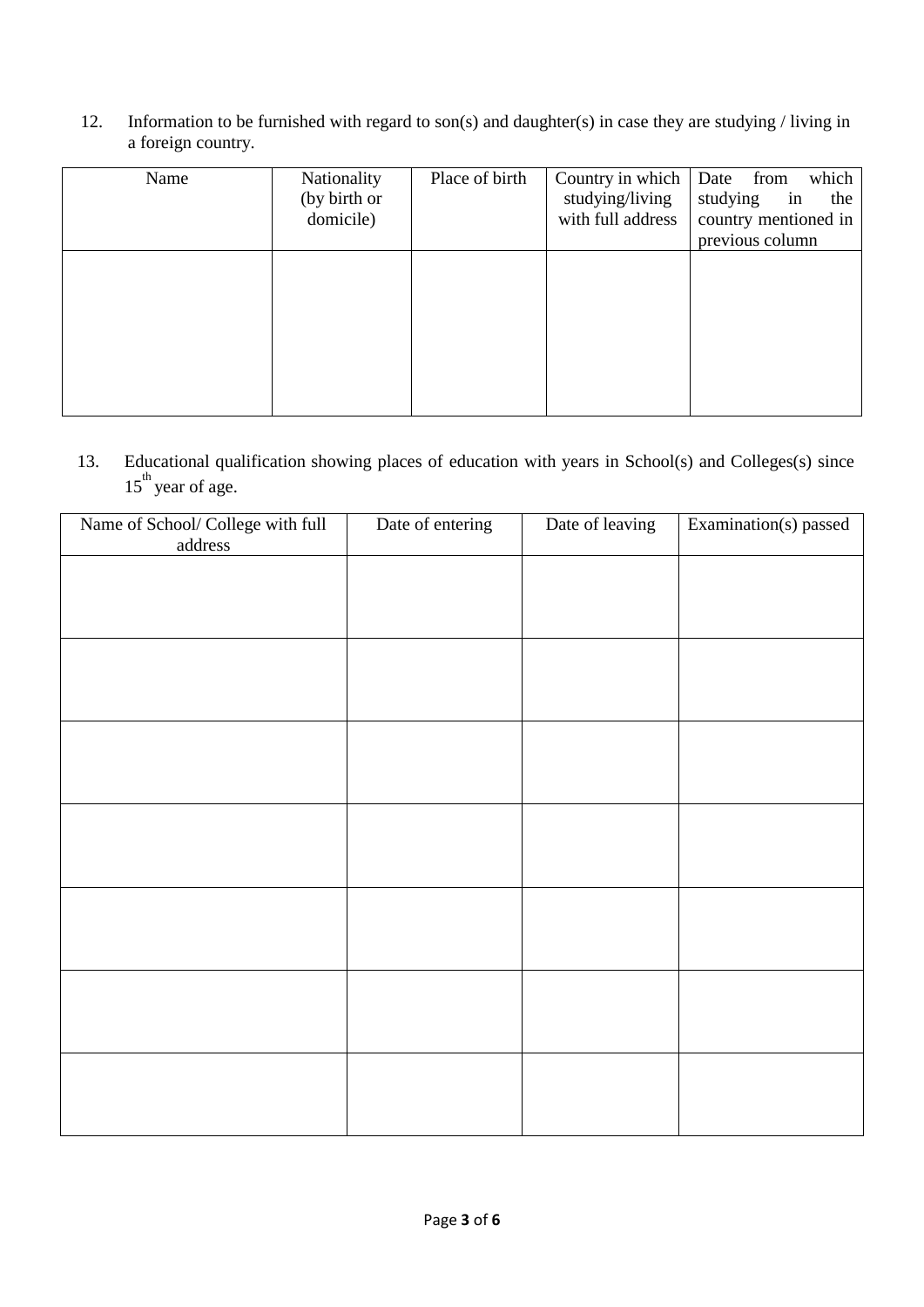12. Information to be furnished with regard to son(s) and daughter(s) in case they are studying / living in a foreign country.

| Name | Nationality<br>(by birth or<br>domicile) | Place of birth | Country in which<br>studying/living<br>with full address | which<br>Date<br>from<br>studying<br>in<br>the<br>country mentioned in<br>previous column |
|------|------------------------------------------|----------------|----------------------------------------------------------|-------------------------------------------------------------------------------------------|
|      |                                          |                |                                                          |                                                                                           |
|      |                                          |                |                                                          |                                                                                           |

13. Educational qualification showing places of education with years in School(s) and Colleges(s) since  $15<sup>th</sup>$  year of age.

| Name of School/ College with full<br>address | Date of entering | Date of leaving | Examination(s) passed |
|----------------------------------------------|------------------|-----------------|-----------------------|
|                                              |                  |                 |                       |
|                                              |                  |                 |                       |
|                                              |                  |                 |                       |
|                                              |                  |                 |                       |
|                                              |                  |                 |                       |
|                                              |                  |                 |                       |
|                                              |                  |                 |                       |
|                                              |                  |                 |                       |
|                                              |                  |                 |                       |
|                                              |                  |                 |                       |
|                                              |                  |                 |                       |
|                                              |                  |                 |                       |
|                                              |                  |                 |                       |
|                                              |                  |                 |                       |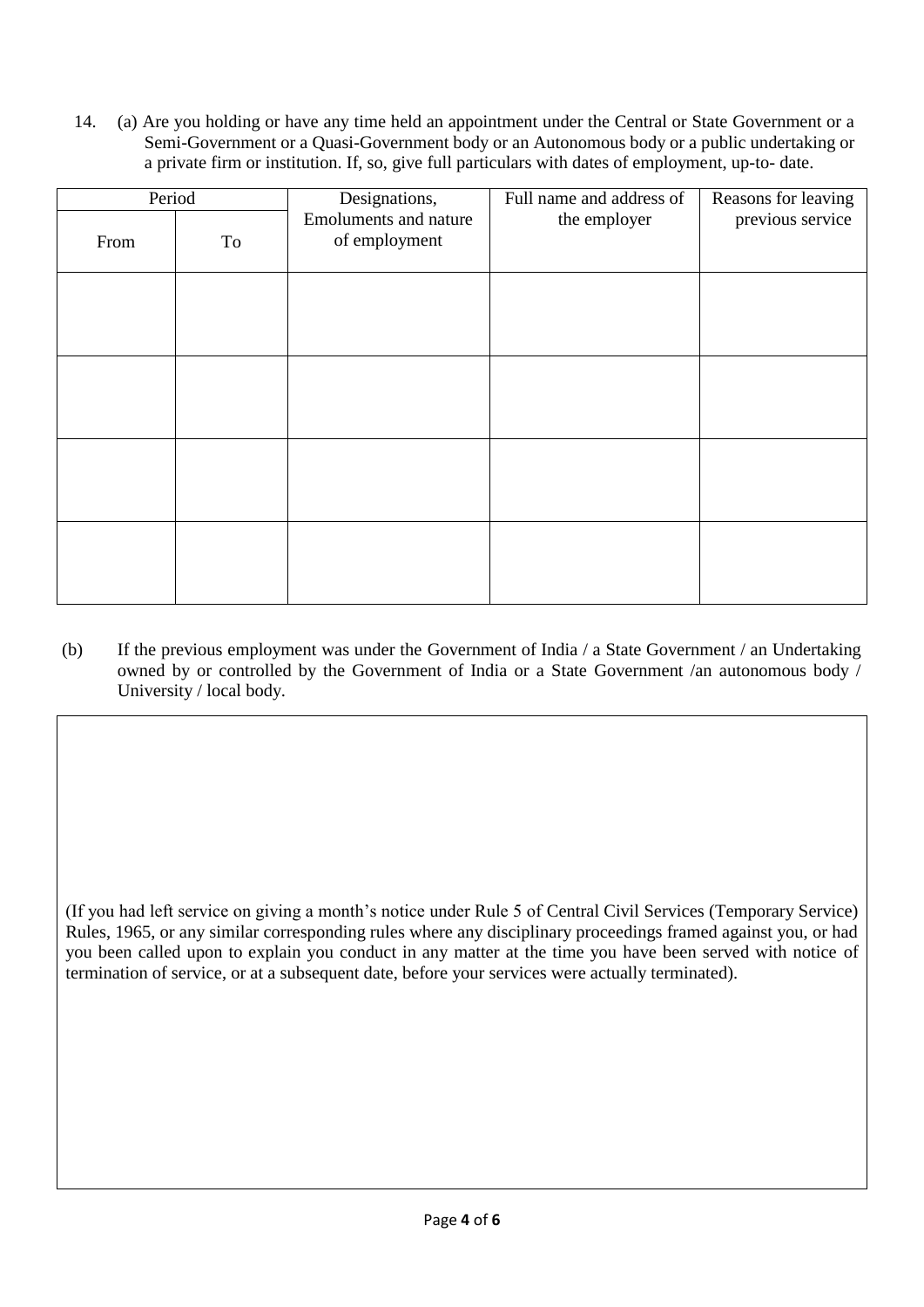14. (a) Are you holding or have any time held an appointment under the Central or State Government or a Semi-Government or a Quasi-Government body or an Autonomous body or a public undertaking or a private firm or institution. If, so, give full particulars with dates of employment, up-to- date.

| Period |    | Designations,                          | Full name and address of | Reasons for leaving |
|--------|----|----------------------------------------|--------------------------|---------------------|
| From   | To | Emoluments and nature<br>of employment | the employer             | previous service    |
|        |    |                                        |                          |                     |
|        |    |                                        |                          |                     |
|        |    |                                        |                          |                     |
|        |    |                                        |                          |                     |
|        |    |                                        |                          |                     |
|        |    |                                        |                          |                     |
|        |    |                                        |                          |                     |
|        |    |                                        |                          |                     |

(b) If the previous employment was under the Government of India / a State Government / an Undertaking owned by or controlled by the Government of India or a State Government /an autonomous body / University / local body.

(If you had left service on giving a month's notice under Rule 5 of Central Civil Services (Temporary Service) Rules, 1965, or any similar corresponding rules where any disciplinary proceedings framed against you, or had you been called upon to explain you conduct in any matter at the time you have been served with notice of termination of service, or at a subsequent date, before your services were actually terminated).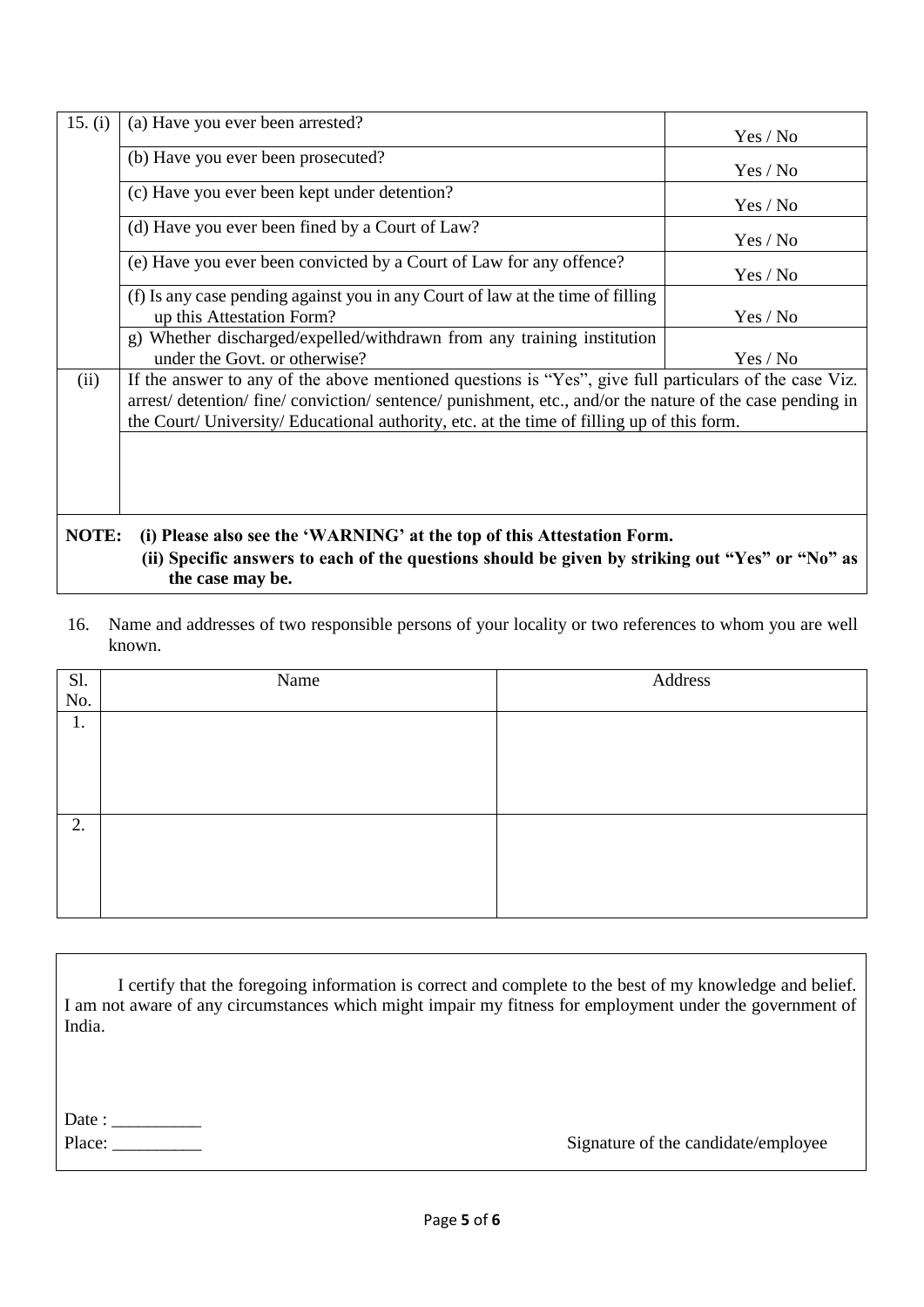| 15. $(i)$ | (a) Have you ever been arrested?                                                                                                                                                                                                                                                                             | Yes / No |
|-----------|--------------------------------------------------------------------------------------------------------------------------------------------------------------------------------------------------------------------------------------------------------------------------------------------------------------|----------|
|           | (b) Have you ever been prosecuted?                                                                                                                                                                                                                                                                           | Yes / No |
|           | (c) Have you ever been kept under detention?                                                                                                                                                                                                                                                                 | Yes / No |
|           | (d) Have you ever been fined by a Court of Law?                                                                                                                                                                                                                                                              | Yes / No |
|           | (e) Have you ever been convicted by a Court of Law for any offence?                                                                                                                                                                                                                                          | Yes / No |
|           | (f) Is any case pending against you in any Court of law at the time of filling<br>up this Attestation Form?                                                                                                                                                                                                  | Yes / No |
|           | g) Whether discharged/expelled/withdrawn from any training institution<br>under the Govt. or otherwise?                                                                                                                                                                                                      | Yes / No |
| (ii)      | If the answer to any of the above mentioned questions is "Yes", give full particulars of the case Viz.<br>arrest/detention/fine/conviction/sentence/punishment, etc., and/or the nature of the case pending in<br>the Court/ University/ Educational authority, etc. at the time of filling up of this form. |          |
|           |                                                                                                                                                                                                                                                                                                              |          |
|           |                                                                                                                                                                                                                                                                                                              |          |
| NOTE:     | (i) Please also see the 'WARNING' at the top of this Attestation Form.<br>(ii) Specific answers to each of the questions should be given by striking out "Yes" or "No" as<br>the case may be.                                                                                                                |          |

16. Name and addresses of two responsible persons of your locality or two references to whom you are well known.

|              | Name | Address |
|--------------|------|---------|
| Sl.  <br>No. |      |         |
| 1.           |      |         |
|              |      |         |
|              |      |         |
|              |      |         |
|              |      |         |
| 2.           |      |         |
|              |      |         |
|              |      |         |
|              |      |         |
|              |      |         |

 I certify that the foregoing information is correct and complete to the best of my knowledge and belief. I am not aware of any circumstances which might impair my fitness for employment under the government of India.

Date : \_\_\_\_\_\_\_\_\_\_

Place: \_\_\_\_\_\_\_\_\_\_ Signature of the candidate/employee